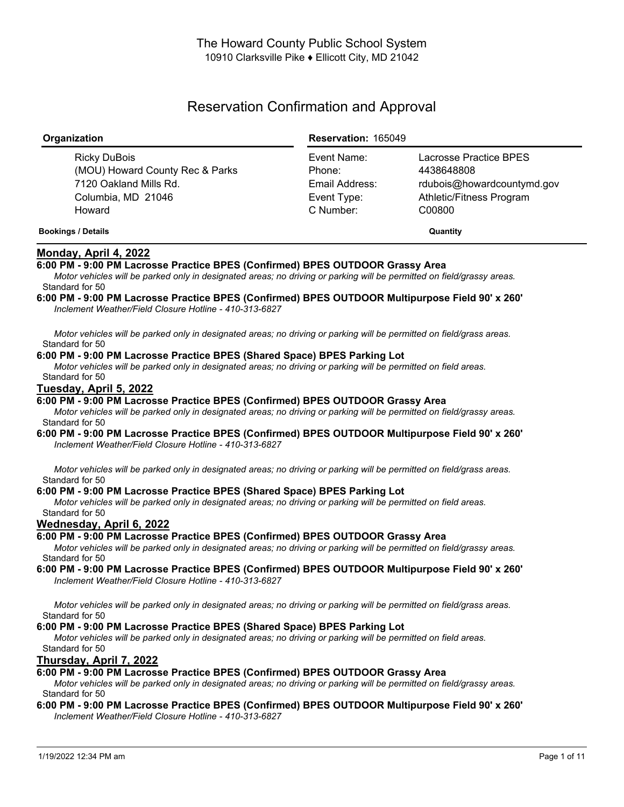# Reservation Confirmation and Approval

| Organization                                                                                              | <b>Reservation: 165049</b>                                          |                                                                                                          |
|-----------------------------------------------------------------------------------------------------------|---------------------------------------------------------------------|----------------------------------------------------------------------------------------------------------|
| Ricky DuBois<br>(MOU) Howard County Rec & Parks<br>7120 Oakland Mills Rd.<br>Columbia, MD 21046<br>Howard | Event Name:<br>Phone:<br>Email Address:<br>Event Type:<br>C Number: | Lacrosse Practice BPES<br>4438648808<br>rdubois@howardcountymd.gov<br>Athletic/Fitness Program<br>C00800 |
| <b>Bookings / Details</b>                                                                                 |                                                                     | Quantity                                                                                                 |

## **Monday, April 4, 2022**

## **6:00 PM - 9:00 PM Lacrosse Practice BPES (Confirmed) BPES OUTDOOR Grassy Area**

Motor vehicles will be parked only in designated areas; no driving or parking will be permitted on field/grassy areas. Standard for 50

#### **6:00 PM - 9:00 PM Lacrosse Practice BPES (Confirmed) BPES OUTDOOR Multipurpose Field 90' x 260'** *Inclement Weather/Field Closure Hotline - 410-313-6827*

Motor vehicles will be parked only in designated areas; no driving or parking will be permitted on field/grass areas. Standard for 50

## **6:00 PM - 9:00 PM Lacrosse Practice BPES (Shared Space) BPES Parking Lot**

Motor vehicles will be parked only in designated areas; no driving or parking will be permitted on field areas. Standard for 50

## **Tuesday, April 5, 2022**

## **6:00 PM - 9:00 PM Lacrosse Practice BPES (Confirmed) BPES OUTDOOR Grassy Area**

Motor vehicles will be parked only in designated areas; no driving or parking will be permitted on field/grassy areas. Standard for 50

#### **6:00 PM - 9:00 PM Lacrosse Practice BPES (Confirmed) BPES OUTDOOR Multipurpose Field 90' x 260'** *Inclement Weather/Field Closure Hotline - 410-313-6827*

Motor vehicles will be parked only in designated areas; no driving or parking will be permitted on field/grass areas. Standard for 50

#### **6:00 PM - 9:00 PM Lacrosse Practice BPES (Shared Space) BPES Parking Lot**

Motor vehicles will be parked only in designated areas; no driving or parking will be permitted on field areas. Standard for 50

## **Wednesday, April 6, 2022**

## **6:00 PM - 9:00 PM Lacrosse Practice BPES (Confirmed) BPES OUTDOOR Grassy Area**

Motor vehicles will be parked only in designated areas; no driving or parking will be permitted on field/grassy areas. Standard for 50

#### **6:00 PM - 9:00 PM Lacrosse Practice BPES (Confirmed) BPES OUTDOOR Multipurpose Field 90' x 260'** *Inclement Weather/Field Closure Hotline - 410-313-6827*

Motor vehicles will be parked only in designated areas; no driving or parking will be permitted on field/grass areas. Standard for 50

## **6:00 PM - 9:00 PM Lacrosse Practice BPES (Shared Space) BPES Parking Lot**

Motor vehicles will be parked only in designated areas; no driving or parking will be permitted on field areas. Standard for 50

## **Thursday, April 7, 2022**

## **6:00 PM - 9:00 PM Lacrosse Practice BPES (Confirmed) BPES OUTDOOR Grassy Area**

Motor vehicles will be parked only in designated areas; no driving or parking will be permitted on field/grassy areas. Standard for 50

#### **6:00 PM - 9:00 PM Lacrosse Practice BPES (Confirmed) BPES OUTDOOR Multipurpose Field 90' x 260'** *Inclement Weather/Field Closure Hotline - 410-313-6827*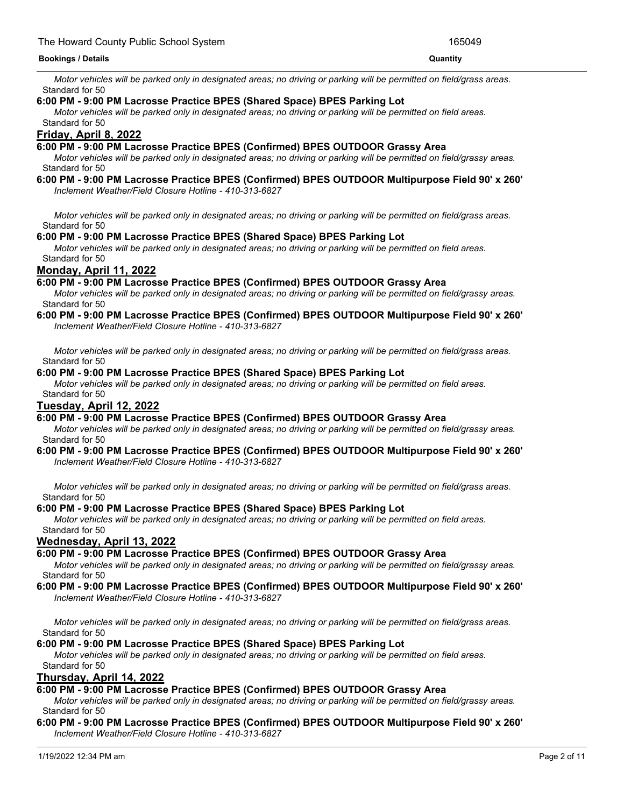Motor vehicles will be parked only in designated areas; no driving or parking will be permitted on field/grass areas. Standard for 50

### **6:00 PM - 9:00 PM Lacrosse Practice BPES (Shared Space) BPES Parking Lot**

Motor vehicles will be parked only in designated areas; no driving or parking will be permitted on field areas. Standard for 50

## **Friday, April 8, 2022**

## **6:00 PM - 9:00 PM Lacrosse Practice BPES (Confirmed) BPES OUTDOOR Grassy Area**

Motor vehicles will be parked only in designated areas; no driving or parking will be permitted on field/grassy areas. Standard for 50

# **6:00 PM - 9:00 PM Lacrosse Practice BPES (Confirmed) BPES OUTDOOR Multipurpose Field 90' x 260'**

*Inclement Weather/Field Closure Hotline - 410-313-6827*

Motor vehicles will be parked only in designated areas: no driving or parking will be permitted on field/grass areas. Standard for 50

## **6:00 PM - 9:00 PM Lacrosse Practice BPES (Shared Space) BPES Parking Lot**

Motor vehicles will be parked only in designated areas; no driving or parking will be permitted on field areas. Standard for 50

## **Monday, April 11, 2022**

## **6:00 PM - 9:00 PM Lacrosse Practice BPES (Confirmed) BPES OUTDOOR Grassy Area**

Motor vehicles will be parked only in designated areas: no driving or parking will be permitted on field/grassy areas. Standard for 50

#### **6:00 PM - 9:00 PM Lacrosse Practice BPES (Confirmed) BPES OUTDOOR Multipurpose Field 90' x 260'** *Inclement Weather/Field Closure Hotline - 410-313-6827*

Motor vehicles will be parked only in designated areas; no driving or parking will be permitted on field/grass areas. Standard for 50

#### **6:00 PM - 9:00 PM Lacrosse Practice BPES (Shared Space) BPES Parking Lot**

Motor vehicles will be parked only in designated areas; no driving or parking will be permitted on field areas. Standard for 50

## **Tuesday, April 12, 2022**

## **6:00 PM - 9:00 PM Lacrosse Practice BPES (Confirmed) BPES OUTDOOR Grassy Area**

Motor vehicles will be parked only in designated areas; no driving or parking will be permitted on field/grassy areas. Standard for 50

#### **6:00 PM - 9:00 PM Lacrosse Practice BPES (Confirmed) BPES OUTDOOR Multipurpose Field 90' x 260'** *Inclement Weather/Field Closure Hotline - 410-313-6827*

Motor vehicles will be parked only in designated areas; no driving or parking will be permitted on field/grass areas. Standard for 50

#### **6:00 PM - 9:00 PM Lacrosse Practice BPES (Shared Space) BPES Parking Lot**

Motor vehicles will be parked only in designated areas; no driving or parking will be permitted on field areas. Standard for 50

#### **Wednesday, April 13, 2022**

## **6:00 PM - 9:00 PM Lacrosse Practice BPES (Confirmed) BPES OUTDOOR Grassy Area**

Motor vehicles will be parked only in designated areas; no driving or parking will be permitted on field/grassy areas. Standard for 50

#### **6:00 PM - 9:00 PM Lacrosse Practice BPES (Confirmed) BPES OUTDOOR Multipurpose Field 90' x 260'** *Inclement Weather/Field Closure Hotline - 410-313-6827*

Motor vehicles will be parked only in designated areas; no driving or parking will be permitted on field/grass areas. Standard for 50

## **6:00 PM - 9:00 PM Lacrosse Practice BPES (Shared Space) BPES Parking Lot**

Motor vehicles will be parked only in designated areas; no driving or parking will be permitted on field areas. Standard for 50

## **Thursday, April 14, 2022**

## **6:00 PM - 9:00 PM Lacrosse Practice BPES (Confirmed) BPES OUTDOOR Grassy Area**

Motor vehicles will be parked only in designated areas; no driving or parking will be permitted on field/grassy areas. Standard for 50

### **6:00 PM - 9:00 PM Lacrosse Practice BPES (Confirmed) BPES OUTDOOR Multipurpose Field 90' x 260'** *Inclement Weather/Field Closure Hotline - 410-313-6827*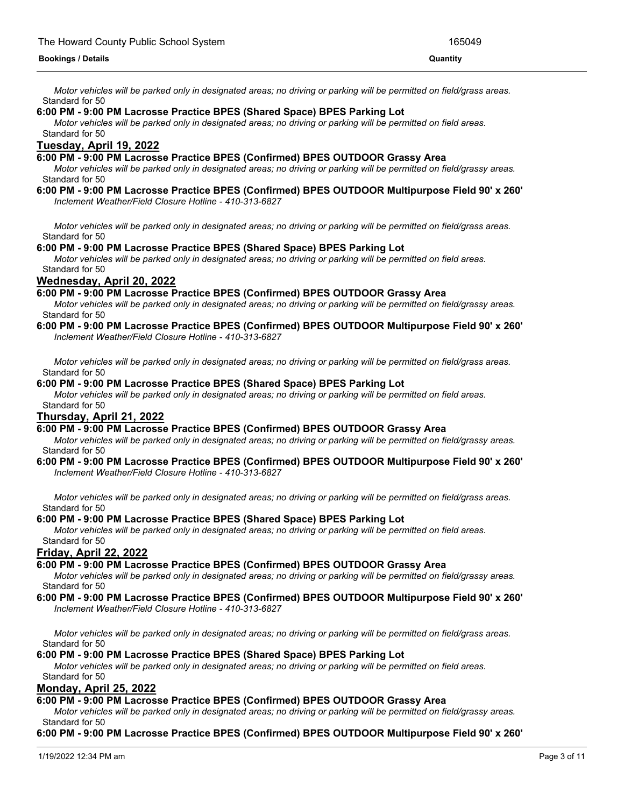Motor vehicles will be parked only in designated areas; no driving or parking will be permitted on field/grass areas. Standard for 50

## **6:00 PM - 9:00 PM Lacrosse Practice BPES (Shared Space) BPES Parking Lot**

Motor vehicles will be parked only in designated areas; no driving or parking will be permitted on field areas. Standard for 50

## **Tuesday, April 19, 2022**

#### **6:00 PM - 9:00 PM Lacrosse Practice BPES (Confirmed) BPES OUTDOOR Grassy Area**

Motor vehicles will be parked only in designated areas; no driving or parking will be permitted on field/grassy areas. Standard for 50

#### **6:00 PM - 9:00 PM Lacrosse Practice BPES (Confirmed) BPES OUTDOOR Multipurpose Field 90' x 260'** *Inclement Weather/Field Closure Hotline - 410-313-6827*

Motor vehicles will be parked only in designated areas: no driving or parking will be permitted on field/grass areas. Standard for 50

#### **6:00 PM - 9:00 PM Lacrosse Practice BPES (Shared Space) BPES Parking Lot**

Motor vehicles will be parked only in designated areas; no driving or parking will be permitted on field areas. Standard for 50

#### **Wednesday, April 20, 2022**

#### **6:00 PM - 9:00 PM Lacrosse Practice BPES (Confirmed) BPES OUTDOOR Grassy Area**

Motor vehicles will be parked only in designated areas; no driving or parking will be permitted on field/grassy areas. Standard for 50

# **6:00 PM - 9:00 PM Lacrosse Practice BPES (Confirmed) BPES OUTDOOR Multipurpose Field 90' x 260'**

*Inclement Weather/Field Closure Hotline - 410-313-6827*

Motor vehicles will be parked only in designated areas; no driving or parking will be permitted on field/grass areas. Standard for 50

## **6:00 PM - 9:00 PM Lacrosse Practice BPES (Shared Space) BPES Parking Lot**

Motor vehicles will be parked only in designated areas; no driving or parking will be permitted on field areas. Standard for 50

#### **Thursday, April 21, 2022**

#### **6:00 PM - 9:00 PM Lacrosse Practice BPES (Confirmed) BPES OUTDOOR Grassy Area**

Motor vehicles will be parked only in designated areas; no driving or parking will be permitted on field/grassy areas. Standard for 50

# **6:00 PM - 9:00 PM Lacrosse Practice BPES (Confirmed) BPES OUTDOOR Multipurpose Field 90' x 260'**

*Inclement Weather/Field Closure Hotline - 410-313-6827*

Motor vehicles will be parked only in designated areas; no driving or parking will be permitted on field/grass areas. Standard for 50

#### **6:00 PM - 9:00 PM Lacrosse Practice BPES (Shared Space) BPES Parking Lot**

Motor vehicles will be parked only in designated areas; no driving or parking will be permitted on field areas. Standard for 50

# **Friday, April 22, 2022**

#### **6:00 PM - 9:00 PM Lacrosse Practice BPES (Confirmed) BPES OUTDOOR Grassy Area**

Motor vehicles will be parked only in designated areas; no driving or parking will be permitted on field/grassy areas. Standard for 50

#### **6:00 PM - 9:00 PM Lacrosse Practice BPES (Confirmed) BPES OUTDOOR Multipurpose Field 90' x 260'**

*Inclement Weather/Field Closure Hotline - 410-313-6827*

Motor vehicles will be parked only in designated areas; no driving or parking will be permitted on field/grass areas. Standard for 50

### **6:00 PM - 9:00 PM Lacrosse Practice BPES (Shared Space) BPES Parking Lot**

Motor vehicles will be parked only in designated areas; no driving or parking will be permitted on field areas. Standard for 50

## **Monday, April 25, 2022**

#### **6:00 PM - 9:00 PM Lacrosse Practice BPES (Confirmed) BPES OUTDOOR Grassy Area**

Motor vehicles will be parked only in designated areas; no driving or parking will be permitted on field/grassy areas. Standard for 50

#### **6:00 PM - 9:00 PM Lacrosse Practice BPES (Confirmed) BPES OUTDOOR Multipurpose Field 90' x 260'**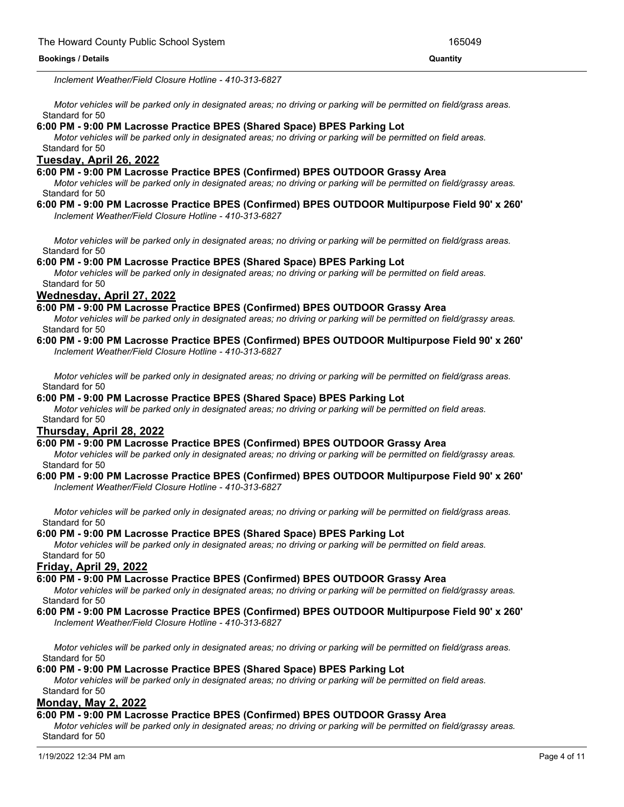*Inclement Weather/Field Closure Hotline - 410-313-6827*

Motor vehicles will be parked only in designated areas; no driving or parking will be permitted on field/grass areas. Standard for 50

**6:00 PM - 9:00 PM Lacrosse Practice BPES (Confirmed) BPES OUTDOOR Multipurpose Field 90' x 260'**

## **6:00 PM - 9:00 PM Lacrosse Practice BPES (Shared Space) BPES Parking Lot**

Motor vehicles will be parked only in designated areas; no driving or parking will be permitted on field areas. Standard for 50

## **Tuesday, April 26, 2022**

#### **6:00 PM - 9:00 PM Lacrosse Practice BPES (Confirmed) BPES OUTDOOR Grassy Area**

Motor vehicles will be parked only in designated areas; no driving or parking will be permitted on field/grassy areas. Standard for 50

#### **6:00 PM - 9:00 PM Lacrosse Practice BPES (Confirmed) BPES OUTDOOR Multipurpose Field 90' x 260'** *Inclement Weather/Field Closure Hotline - 410-313-6827*

Motor vehicles will be parked only in designated areas; no driving or parking will be permitted on field/grass areas. Standard for 50

#### **6:00 PM - 9:00 PM Lacrosse Practice BPES (Shared Space) BPES Parking Lot**

Motor vehicles will be parked only in designated areas; no driving or parking will be permitted on field areas. Standard for 50

#### **Wednesday, April 27, 2022**

#### **6:00 PM - 9:00 PM Lacrosse Practice BPES (Confirmed) BPES OUTDOOR Grassy Area**

Motor vehicles will be parked only in designated areas; no driving or parking will be permitted on field/grassy areas. Standard for 50

#### **6:00 PM - 9:00 PM Lacrosse Practice BPES (Confirmed) BPES OUTDOOR Multipurpose Field 90' x 260'** *Inclement Weather/Field Closure Hotline - 410-313-6827*

Motor vehicles will be parked only in designated areas; no driving or parking will be permitted on field/grass areas. Standard for 50

## **6:00 PM - 9:00 PM Lacrosse Practice BPES (Shared Space) BPES Parking Lot**

Motor vehicles will be parked only in designated areas; no driving or parking will be permitted on field areas. Standard for 50

### **Thursday, April 28, 2022**

#### **6:00 PM - 9:00 PM Lacrosse Practice BPES (Confirmed) BPES OUTDOOR Grassy Area**

Motor vehicles will be parked only in designated areas; no driving or parking will be permitted on field/grassy areas. Standard for 50

#### **6:00 PM - 9:00 PM Lacrosse Practice BPES (Confirmed) BPES OUTDOOR Multipurpose Field 90' x 260'** *Inclement Weather/Field Closure Hotline - 410-313-6827*

Motor vehicles will be parked only in designated areas; no driving or parking will be permitted on field/grass areas. Standard for 50

## **6:00 PM - 9:00 PM Lacrosse Practice BPES (Shared Space) BPES Parking Lot**

Motor vehicles will be parked only in designated areas; no driving or parking will be permitted on field areas. Standard for 50

#### **Friday, April 29, 2022**

### **6:00 PM - 9:00 PM Lacrosse Practice BPES (Confirmed) BPES OUTDOOR Grassy Area**

Motor vehicles will be parked only in designated areas; no driving or parking will be permitted on field/grassy areas. Standard for 50

#### **6:00 PM - 9:00 PM Lacrosse Practice BPES (Confirmed) BPES OUTDOOR Multipurpose Field 90' x 260'** *Inclement Weather/Field Closure Hotline - 410-313-6827*

Motor vehicles will be parked only in designated areas; no driving or parking will be permitted on field/grass areas. Standard for 50

#### **6:00 PM - 9:00 PM Lacrosse Practice BPES (Shared Space) BPES Parking Lot**

Motor vehicles will be parked only in designated areas; no driving or parking will be permitted on field areas. Standard for 50

#### **Monday, May 2, 2022**

#### **6:00 PM - 9:00 PM Lacrosse Practice BPES (Confirmed) BPES OUTDOOR Grassy Area**

Motor vehicles will be parked only in designated areas; no driving or parking will be permitted on field/grassy areas. Standard for 50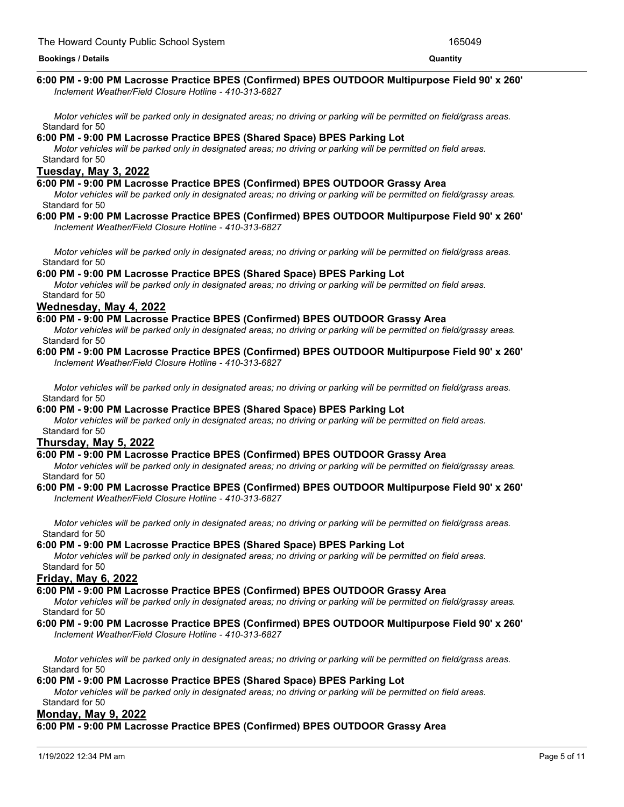#### Standard for 50 **6:00 PM - 9:00 PM Lacrosse Practice BPES (Confirmed) BPES OUTDOOR Multipurpose Field 90' x 260'** *Inclement Weather/Field Closure Hotline - 410-313-6827*

Motor vehicles will be parked only in designated areas; no driving or parking will be permitted on field/grass areas. Standard for 50

## **6:00 PM - 9:00 PM Lacrosse Practice BPES (Shared Space) BPES Parking Lot**

Motor vehicles will be parked only in designated areas; no driving or parking will be permitted on field areas. Standard for 50

## **Tuesday, May 3, 2022**

## **6:00 PM - 9:00 PM Lacrosse Practice BPES (Confirmed) BPES OUTDOOR Grassy Area**

Motor vehicles will be parked only in designated areas; no driving or parking will be permitted on field/grassy areas. Standard for 50

#### **6:00 PM - 9:00 PM Lacrosse Practice BPES (Confirmed) BPES OUTDOOR Multipurpose Field 90' x 260'** *Inclement Weather/Field Closure Hotline - 410-313-6827*

Motor vehicles will be parked only in designated areas; no driving or parking will be permitted on field/grass areas. Standard for 50

## **6:00 PM - 9:00 PM Lacrosse Practice BPES (Shared Space) BPES Parking Lot**

Motor vehicles will be parked only in designated areas; no driving or parking will be permitted on field areas. Standard for 50

## **Wednesday, May 4, 2022**

## **6:00 PM - 9:00 PM Lacrosse Practice BPES (Confirmed) BPES OUTDOOR Grassy Area**

Motor vehicles will be parked only in designated areas; no driving or parking will be permitted on field/grassy areas. Standard for 50

#### **6:00 PM - 9:00 PM Lacrosse Practice BPES (Confirmed) BPES OUTDOOR Multipurpose Field 90' x 260'** *Inclement Weather/Field Closure Hotline - 410-313-6827*

Motor vehicles will be parked only in designated areas; no driving or parking will be permitted on field/grass areas. Standard for 50

## **6:00 PM - 9:00 PM Lacrosse Practice BPES (Shared Space) BPES Parking Lot**

Motor vehicles will be parked only in designated areas; no driving or parking will be permitted on field areas. Standard for 50

## **Thursday, May 5, 2022**

## **6:00 PM - 9:00 PM Lacrosse Practice BPES (Confirmed) BPES OUTDOOR Grassy Area**

Motor vehicles will be parked only in designated areas; no driving or parking will be permitted on field/grassy areas. Standard for 50

#### **6:00 PM - 9:00 PM Lacrosse Practice BPES (Confirmed) BPES OUTDOOR Multipurpose Field 90' x 260'** *Inclement Weather/Field Closure Hotline - 410-313-6827*

Motor vehicles will be parked only in designated areas; no driving or parking will be permitted on field/grass areas. Standard for 50

#### **6:00 PM - 9:00 PM Lacrosse Practice BPES (Shared Space) BPES Parking Lot**

Motor vehicles will be parked only in designated areas; no driving or parking will be permitted on field areas. Standard for 50

#### **Friday, May 6, 2022**

#### **6:00 PM - 9:00 PM Lacrosse Practice BPES (Confirmed) BPES OUTDOOR Grassy Area**

Motor vehicles will be parked only in designated areas; no driving or parking will be permitted on field/grassy areas. Standard for 50

#### **6:00 PM - 9:00 PM Lacrosse Practice BPES (Confirmed) BPES OUTDOOR Multipurpose Field 90' x 260'** *Inclement Weather/Field Closure Hotline - 410-313-6827*

Motor vehicles will be parked only in designated areas; no driving or parking will be permitted on field/grass areas. Standard for 50

#### **6:00 PM - 9:00 PM Lacrosse Practice BPES (Shared Space) BPES Parking Lot**

Motor vehicles will be parked only in designated areas; no driving or parking will be permitted on field areas. Standard for 50

#### **Monday, May 9, 2022**

## **6:00 PM - 9:00 PM Lacrosse Practice BPES (Confirmed) BPES OUTDOOR Grassy Area**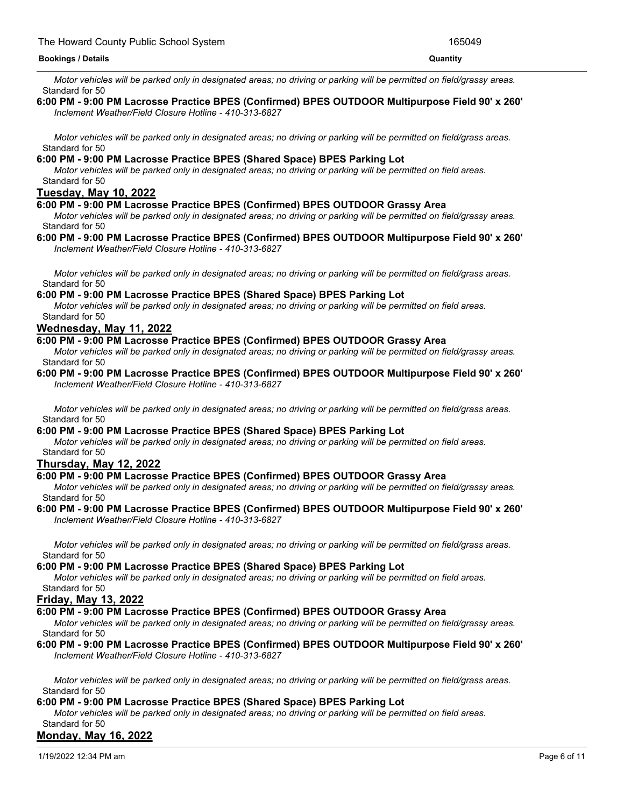**6:00 PM - 9:00 PM Lacrosse Practice BPES (Confirmed) BPES OUTDOOR Grassy Area** Motor vehicles will be parked only in designated areas; no driving or parking will be permitted on field/grassy areas. Standard for 50

#### **6:00 PM - 9:00 PM Lacrosse Practice BPES (Confirmed) BPES OUTDOOR Multipurpose Field 90' x 260'** *Inclement Weather/Field Closure Hotline - 410-313-6827*

Motor vehicles will be parked only in designated areas; no driving or parking will be permitted on field/grass areas. Standard for 50

## **6:00 PM - 9:00 PM Lacrosse Practice BPES (Shared Space) BPES Parking Lot**

Motor vehicles will be parked only in designated areas; no driving or parking will be permitted on field areas. Standard for 50

## **Tuesday, May 10, 2022**

#### **6:00 PM - 9:00 PM Lacrosse Practice BPES (Confirmed) BPES OUTDOOR Grassy Area**

Motor vehicles will be parked only in designated areas; no driving or parking will be permitted on field/grassy areas. Standard for 50

#### **6:00 PM - 9:00 PM Lacrosse Practice BPES (Confirmed) BPES OUTDOOR Multipurpose Field 90' x 260'** *Inclement Weather/Field Closure Hotline - 410-313-6827*

Motor vehicles will be parked only in designated areas; no driving or parking will be permitted on field/grass areas. Standard for 50

#### **6:00 PM - 9:00 PM Lacrosse Practice BPES (Shared Space) BPES Parking Lot**

Motor vehicles will be parked only in designated areas; no driving or parking will be permitted on field areas. Standard for 50

## **Wednesday, May 11, 2022**

#### **6:00 PM - 9:00 PM Lacrosse Practice BPES (Confirmed) BPES OUTDOOR Grassy Area**

Motor vehicles will be parked only in designated areas; no driving or parking will be permitted on field/grassy areas. Standard for 50

#### **6:00 PM - 9:00 PM Lacrosse Practice BPES (Confirmed) BPES OUTDOOR Multipurpose Field 90' x 260'** *Inclement Weather/Field Closure Hotline - 410-313-6827*

Motor vehicles will be parked only in designated areas; no driving or parking will be permitted on field/grass areas. Standard for 50

## **6:00 PM - 9:00 PM Lacrosse Practice BPES (Shared Space) BPES Parking Lot**

Motor vehicles will be parked only in designated areas; no driving or parking will be permitted on field areas. Standard for 50

## **Thursday, May 12, 2022**

#### **6:00 PM - 9:00 PM Lacrosse Practice BPES (Confirmed) BPES OUTDOOR Grassy Area**

Motor vehicles will be parked only in designated areas; no driving or parking will be permitted on field/grassy areas. Standard for 50

#### **6:00 PM - 9:00 PM Lacrosse Practice BPES (Confirmed) BPES OUTDOOR Multipurpose Field 90' x 260'** *Inclement Weather/Field Closure Hotline - 410-313-6827*

Motor vehicles will be parked only in designated areas; no driving or parking will be permitted on field/grass areas. Standard for 50

#### **6:00 PM - 9:00 PM Lacrosse Practice BPES (Shared Space) BPES Parking Lot**

Motor vehicles will be parked only in designated areas; no driving or parking will be permitted on field areas. Standard for 50

#### **Friday, May 13, 2022**

## **6:00 PM - 9:00 PM Lacrosse Practice BPES (Confirmed) BPES OUTDOOR Grassy Area**

Motor vehicles will be parked only in designated areas; no driving or parking will be permitted on field/grassy areas. Standard for 50

#### **6:00 PM - 9:00 PM Lacrosse Practice BPES (Confirmed) BPES OUTDOOR Multipurpose Field 90' x 260'** *Inclement Weather/Field Closure Hotline - 410-313-6827*

Motor vehicles will be parked only in designated areas; no driving or parking will be permitted on field/grass areas. Standard for 50

#### **6:00 PM - 9:00 PM Lacrosse Practice BPES (Shared Space) BPES Parking Lot**

Motor vehicles will be parked only in designated areas; no driving or parking will be permitted on field areas. Standard for 50

## **Monday, May 16, 2022**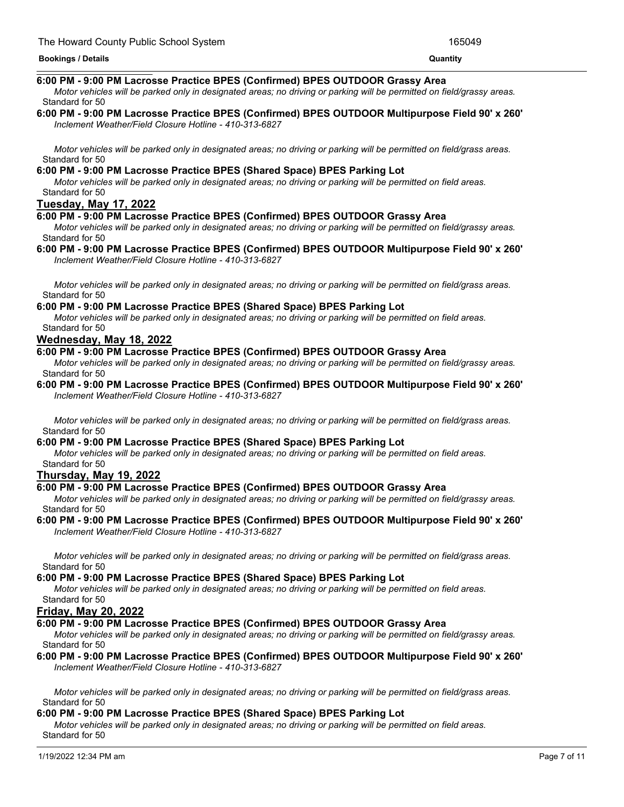#### **Monday, May 16, 2022 Bookings / Details Quantity**

## **6:00 PM - 9:00 PM Lacrosse Practice BPES (Confirmed) BPES OUTDOOR Grassy Area**

Motor vehicles will be parked only in designated areas; no driving or parking will be permitted on field/grassy areas. Standard for 50

#### **6:00 PM - 9:00 PM Lacrosse Practice BPES (Confirmed) BPES OUTDOOR Multipurpose Field 90' x 260'** *Inclement Weather/Field Closure Hotline - 410-313-6827*

Motor vehicles will be parked only in designated areas; no driving or parking will be permitted on field/grass areas. Standard for 50

## **6:00 PM - 9:00 PM Lacrosse Practice BPES (Shared Space) BPES Parking Lot**

Motor vehicles will be parked only in designated areas; no driving or parking will be permitted on field areas. Standard for 50

## **Tuesday, May 17, 2022**

## **6:00 PM - 9:00 PM Lacrosse Practice BPES (Confirmed) BPES OUTDOOR Grassy Area**

Motor vehicles will be parked only in designated areas; no driving or parking will be permitted on field/grassy areas. Standard for 50

#### **6:00 PM - 9:00 PM Lacrosse Practice BPES (Confirmed) BPES OUTDOOR Multipurpose Field 90' x 260'** *Inclement Weather/Field Closure Hotline - 410-313-6827*

Motor vehicles will be parked only in designated areas; no driving or parking will be permitted on field/grass areas. Standard for 50

## **6:00 PM - 9:00 PM Lacrosse Practice BPES (Shared Space) BPES Parking Lot**

Motor vehicles will be parked only in designated areas; no driving or parking will be permitted on field areas. Standard for 50

## **Wednesday, May 18, 2022**

## **6:00 PM - 9:00 PM Lacrosse Practice BPES (Confirmed) BPES OUTDOOR Grassy Area**

Motor vehicles will be parked only in designated areas; no driving or parking will be permitted on field/grassy areas. Standard for 50

#### **6:00 PM - 9:00 PM Lacrosse Practice BPES (Confirmed) BPES OUTDOOR Multipurpose Field 90' x 260'** *Inclement Weather/Field Closure Hotline - 410-313-6827*

Motor vehicles will be parked only in designated areas; no driving or parking will be permitted on field/grass areas. Standard for 50

## **6:00 PM - 9:00 PM Lacrosse Practice BPES (Shared Space) BPES Parking Lot**

Motor vehicles will be parked only in designated areas; no driving or parking will be permitted on field areas. Standard for 50

## **Thursday, May 19, 2022**

## **6:00 PM - 9:00 PM Lacrosse Practice BPES (Confirmed) BPES OUTDOOR Grassy Area**

Motor vehicles will be parked only in designated areas; no driving or parking will be permitted on field/grassy areas. Standard for 50

#### **6:00 PM - 9:00 PM Lacrosse Practice BPES (Confirmed) BPES OUTDOOR Multipurpose Field 90' x 260'** *Inclement Weather/Field Closure Hotline - 410-313-6827*

Motor vehicles will be parked only in designated areas; no driving or parking will be permitted on field/grass areas. Standard for 50

#### **6:00 PM - 9:00 PM Lacrosse Practice BPES (Shared Space) BPES Parking Lot**

Motor vehicles will be parked only in designated areas; no driving or parking will be permitted on field areas. Standard for 50

## **Friday, May 20, 2022**

## **6:00 PM - 9:00 PM Lacrosse Practice BPES (Confirmed) BPES OUTDOOR Grassy Area**

Motor vehicles will be parked only in designated areas; no driving or parking will be permitted on field/grassy areas. Standard for 50

#### **6:00 PM - 9:00 PM Lacrosse Practice BPES (Confirmed) BPES OUTDOOR Multipurpose Field 90' x 260'** *Inclement Weather/Field Closure Hotline - 410-313-6827*

Motor vehicles will be parked only in designated areas; no driving or parking will be permitted on field/grass areas. Standard for 50

#### **6:00 PM - 9:00 PM Lacrosse Practice BPES (Shared Space) BPES Parking Lot**

Motor vehicles will be parked only in designated areas; no driving or parking will be permitted on field areas. Standard for 50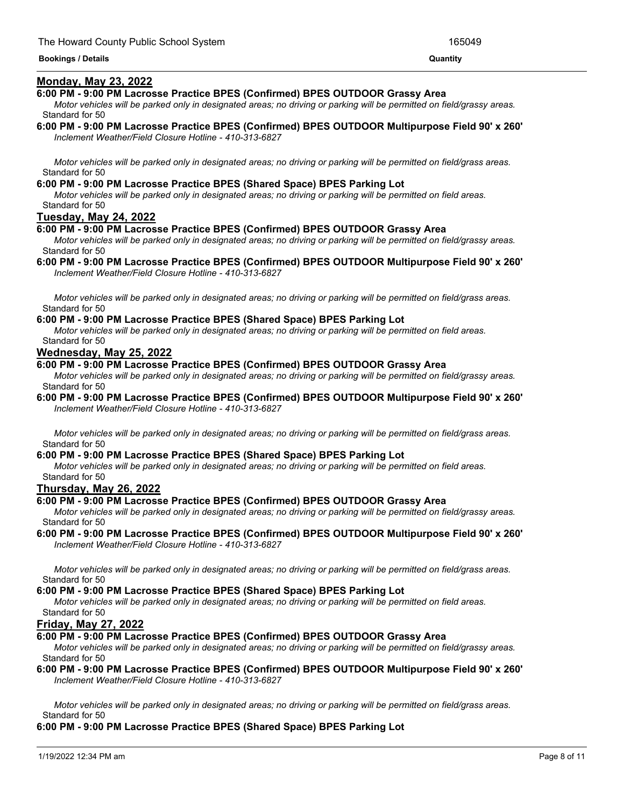#### Standard for 50 **Bookings / Details Quantity**

## **Monday, May 23, 2022**

## **6:00 PM - 9:00 PM Lacrosse Practice BPES (Confirmed) BPES OUTDOOR Grassy Area**

Motor vehicles will be parked only in designated areas; no driving or parking will be permitted on field/grassy areas. Standard for 50

**6:00 PM - 9:00 PM Lacrosse Practice BPES (Confirmed) BPES OUTDOOR Multipurpose Field 90' x 260'** *Inclement Weather/Field Closure Hotline - 410-313-6827*

Motor vehicles will be parked only in designated areas; no driving or parking will be permitted on field/grass areas. Standard for 50

#### **6:00 PM - 9:00 PM Lacrosse Practice BPES (Shared Space) BPES Parking Lot**

Motor vehicles will be parked only in designated areas; no driving or parking will be permitted on field areas. Standard for 50

## **Tuesday, May 24, 2022**

## **6:00 PM - 9:00 PM Lacrosse Practice BPES (Confirmed) BPES OUTDOOR Grassy Area**

Motor vehicles will be parked only in designated areas; no driving or parking will be permitted on field/grassy areas. Standard for 50

### **6:00 PM - 9:00 PM Lacrosse Practice BPES (Confirmed) BPES OUTDOOR Multipurpose Field 90' x 260'** *Inclement Weather/Field Closure Hotline - 410-313-6827*

Motor vehicles will be parked only in designated areas; no driving or parking will be permitted on field/grass areas. Standard for 50

#### **6:00 PM - 9:00 PM Lacrosse Practice BPES (Shared Space) BPES Parking Lot**

Motor vehicles will be parked only in designated areas; no driving or parking will be permitted on field areas. Standard for 50

## **Wednesday, May 25, 2022**

## **6:00 PM - 9:00 PM Lacrosse Practice BPES (Confirmed) BPES OUTDOOR Grassy Area**

Motor vehicles will be parked only in designated areas; no driving or parking will be permitted on field/grassy areas. Standard for 50

**6:00 PM - 9:00 PM Lacrosse Practice BPES (Confirmed) BPES OUTDOOR Multipurpose Field 90' x 260'** *Inclement Weather/Field Closure Hotline - 410-313-6827*

Motor vehicles will be parked only in designated areas; no driving or parking will be permitted on field/grass areas. Standard for 50

## **6:00 PM - 9:00 PM Lacrosse Practice BPES (Shared Space) BPES Parking Lot**

Motor vehicles will be parked only in designated areas; no driving or parking will be permitted on field areas. Standard for 50

## **Thursday, May 26, 2022**

#### **6:00 PM - 9:00 PM Lacrosse Practice BPES (Confirmed) BPES OUTDOOR Grassy Area**

Motor vehicles will be parked only in designated areas; no driving or parking will be permitted on field/grassy areas. Standard for 50

**6:00 PM - 9:00 PM Lacrosse Practice BPES (Confirmed) BPES OUTDOOR Multipurpose Field 90' x 260'** *Inclement Weather/Field Closure Hotline - 410-313-6827*

Motor vehicles will be parked only in designated areas; no driving or parking will be permitted on field/grass areas. Standard for 50

#### **6:00 PM - 9:00 PM Lacrosse Practice BPES (Shared Space) BPES Parking Lot**

Motor vehicles will be parked only in designated areas; no driving or parking will be permitted on field areas. Standard for 50

## **Friday, May 27, 2022**

## **6:00 PM - 9:00 PM Lacrosse Practice BPES (Confirmed) BPES OUTDOOR Grassy Area**

Motor vehicles will be parked only in designated areas; no driving or parking will be permitted on field/grassy areas. Standard for 50

#### **6:00 PM - 9:00 PM Lacrosse Practice BPES (Confirmed) BPES OUTDOOR Multipurpose Field 90' x 260'** *Inclement Weather/Field Closure Hotline - 410-313-6827*

Motor vehicles will be parked only in designated areas; no driving or parking will be permitted on field/grass areas. Standard for 50

#### **6:00 PM - 9:00 PM Lacrosse Practice BPES (Shared Space) BPES Parking Lot**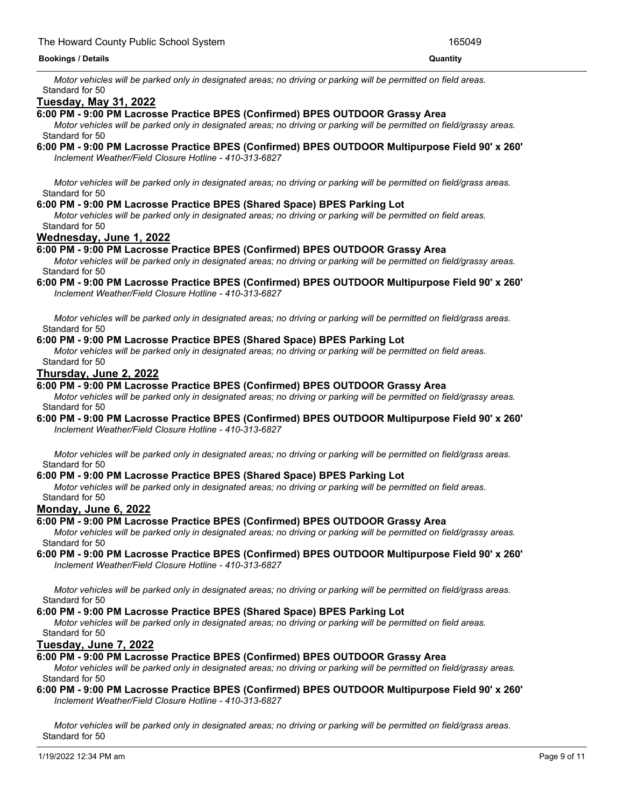#### **6:00 PM - 9:00 PM Lacrosse Practice BPES (Shared Space) BPES Parking Lot Bookings / Details Quantity**

Motor vehicles will be parked only in designated areas; no driving or parking will be permitted on field areas. Standard for 50

## **Tuesday, May 31, 2022**

## **6:00 PM - 9:00 PM Lacrosse Practice BPES (Confirmed) BPES OUTDOOR Grassy Area**

Motor vehicles will be parked only in designated areas; no driving or parking will be permitted on field/grassy areas. Standard for 50

**6:00 PM - 9:00 PM Lacrosse Practice BPES (Confirmed) BPES OUTDOOR Multipurpose Field 90' x 260'** *Inclement Weather/Field Closure Hotline - 410-313-6827*

Motor vehicles will be parked only in designated areas; no driving or parking will be permitted on field/grass areas. Standard for 50

### **6:00 PM - 9:00 PM Lacrosse Practice BPES (Shared Space) BPES Parking Lot**

Motor vehicles will be parked only in designated areas; no driving or parking will be permitted on field areas. Standard for 50

## **Wednesday, June 1, 2022**

## **6:00 PM - 9:00 PM Lacrosse Practice BPES (Confirmed) BPES OUTDOOR Grassy Area**

Motor vehicles will be parked only in designated areas; no driving or parking will be permitted on field/grassy areas. Standard for 50

#### **6:00 PM - 9:00 PM Lacrosse Practice BPES (Confirmed) BPES OUTDOOR Multipurpose Field 90' x 260'** *Inclement Weather/Field Closure Hotline - 410-313-6827*

Motor vehicles will be parked only in designated areas; no driving or parking will be permitted on field/grass areas. Standard for 50

#### **6:00 PM - 9:00 PM Lacrosse Practice BPES (Shared Space) BPES Parking Lot**

Motor vehicles will be parked only in designated areas; no driving or parking will be permitted on field areas. Standard for 50

#### **Thursday, June 2, 2022**

## **6:00 PM - 9:00 PM Lacrosse Practice BPES (Confirmed) BPES OUTDOOR Grassy Area**

Motor vehicles will be parked only in designated areas; no driving or parking will be permitted on field/grassy areas. Standard for 50

#### **6:00 PM - 9:00 PM Lacrosse Practice BPES (Confirmed) BPES OUTDOOR Multipurpose Field 90' x 260'** *Inclement Weather/Field Closure Hotline - 410-313-6827*

Motor vehicles will be parked only in designated areas; no driving or parking will be permitted on field/grass areas. Standard for 50

#### **6:00 PM - 9:00 PM Lacrosse Practice BPES (Shared Space) BPES Parking Lot**

Motor vehicles will be parked only in designated areas; no driving or parking will be permitted on field areas. Standard for 50

#### **Monday, June 6, 2022**

#### **6:00 PM - 9:00 PM Lacrosse Practice BPES (Confirmed) BPES OUTDOOR Grassy Area**

Motor vehicles will be parked only in designated areas; no driving or parking will be permitted on field/grassy areas. Standard for 50

#### **6:00 PM - 9:00 PM Lacrosse Practice BPES (Confirmed) BPES OUTDOOR Multipurpose Field 90' x 260'** *Inclement Weather/Field Closure Hotline - 410-313-6827*

Motor vehicles will be parked only in designated areas; no driving or parking will be permitted on field/grass areas. Standard for 50

#### **6:00 PM - 9:00 PM Lacrosse Practice BPES (Shared Space) BPES Parking Lot**

Motor vehicles will be parked only in designated areas; no driving or parking will be permitted on field areas. Standard for 50

#### **Tuesday, June 7, 2022**

## **6:00 PM - 9:00 PM Lacrosse Practice BPES (Confirmed) BPES OUTDOOR Grassy Area**

Motor vehicles will be parked only in designated areas; no driving or parking will be permitted on field/grassy areas. Standard for 50

#### **6:00 PM - 9:00 PM Lacrosse Practice BPES (Confirmed) BPES OUTDOOR Multipurpose Field 90' x 260'** *Inclement Weather/Field Closure Hotline - 410-313-6827*

Motor vehicles will be parked only in designated areas; no driving or parking will be permitted on field/grass areas. Standard for 50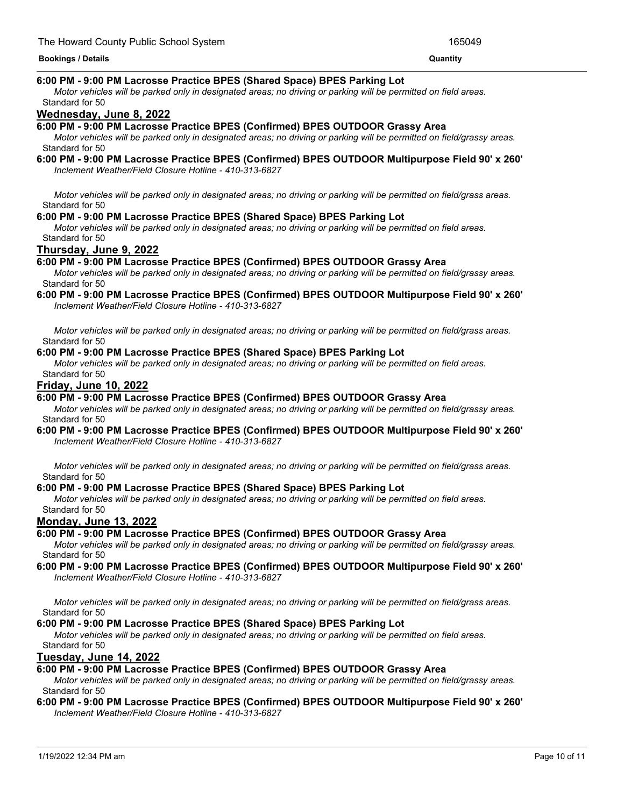#### Standard for 50 **Bookings / Details Quantity**

## **6:00 PM - 9:00 PM Lacrosse Practice BPES (Shared Space) BPES Parking Lot**

Motor vehicles will be parked only in designated areas; no driving or parking will be permitted on field areas. Standard for 50

## **Wednesday, June 8, 2022**

## **6:00 PM - 9:00 PM Lacrosse Practice BPES (Confirmed) BPES OUTDOOR Grassy Area**

Motor vehicles will be parked only in designated areas; no driving or parking will be permitted on field/grassy areas. Standard for 50

# **6:00 PM - 9:00 PM Lacrosse Practice BPES (Confirmed) BPES OUTDOOR Multipurpose Field 90' x 260'**

*Inclement Weather/Field Closure Hotline - 410-313-6827*

Motor vehicles will be parked only in designated areas; no driving or parking will be permitted on field/grass areas. Standard for 50

## **6:00 PM - 9:00 PM Lacrosse Practice BPES (Shared Space) BPES Parking Lot**

Motor vehicles will be parked only in designated areas; no driving or parking will be permitted on field areas. Standard for 50

## **Thursday, June 9, 2022**

## **6:00 PM - 9:00 PM Lacrosse Practice BPES (Confirmed) BPES OUTDOOR Grassy Area**

Motor vehicles will be parked only in designated areas; no driving or parking will be permitted on field/grassy areas. Standard for 50

## **6:00 PM - 9:00 PM Lacrosse Practice BPES (Confirmed) BPES OUTDOOR Multipurpose Field 90' x 260'**

*Inclement Weather/Field Closure Hotline - 410-313-6827*

Motor vehicles will be parked only in designated areas; no driving or parking will be permitted on field/grass areas. Standard for 50

## **6:00 PM - 9:00 PM Lacrosse Practice BPES (Shared Space) BPES Parking Lot**

Motor vehicles will be parked only in designated areas; no driving or parking will be permitted on field areas. Standard for 50

## **Friday, June 10, 2022**

## **6:00 PM - 9:00 PM Lacrosse Practice BPES (Confirmed) BPES OUTDOOR Grassy Area**

Motor vehicles will be parked only in designated areas; no driving or parking will be permitted on field/grassy areas. Standard for 50

## **6:00 PM - 9:00 PM Lacrosse Practice BPES (Confirmed) BPES OUTDOOR Multipurpose Field 90' x 260'**

*Inclement Weather/Field Closure Hotline - 410-313-6827*

Motor vehicles will be parked only in designated areas; no driving or parking will be permitted on field/grass areas. Standard for 50

## **6:00 PM - 9:00 PM Lacrosse Practice BPES (Shared Space) BPES Parking Lot**

Motor vehicles will be parked only in designated areas; no driving or parking will be permitted on field areas. Standard for 50

## **Monday, June 13, 2022**

## **6:00 PM - 9:00 PM Lacrosse Practice BPES (Confirmed) BPES OUTDOOR Grassy Area**

Motor vehicles will be parked only in designated areas; no driving or parking will be permitted on field/grassy areas. Standard for 50

#### **6:00 PM - 9:00 PM Lacrosse Practice BPES (Confirmed) BPES OUTDOOR Multipurpose Field 90' x 260'** *Inclement Weather/Field Closure Hotline - 410-313-6827*

Motor vehicles will be parked only in designated areas; no driving or parking will be permitted on field/grass areas. Standard for 50

## **6:00 PM - 9:00 PM Lacrosse Practice BPES (Shared Space) BPES Parking Lot**

Motor vehicles will be parked only in designated areas; no driving or parking will be permitted on field areas. Standard for 50

## **Tuesday, June 14, 2022**

## **6:00 PM - 9:00 PM Lacrosse Practice BPES (Confirmed) BPES OUTDOOR Grassy Area**

Motor vehicles will be parked only in designated areas; no driving or parking will be permitted on field/grassy areas. Standard for 50

#### **6:00 PM - 9:00 PM Lacrosse Practice BPES (Confirmed) BPES OUTDOOR Multipurpose Field 90' x 260'** *Inclement Weather/Field Closure Hotline - 410-313-6827*